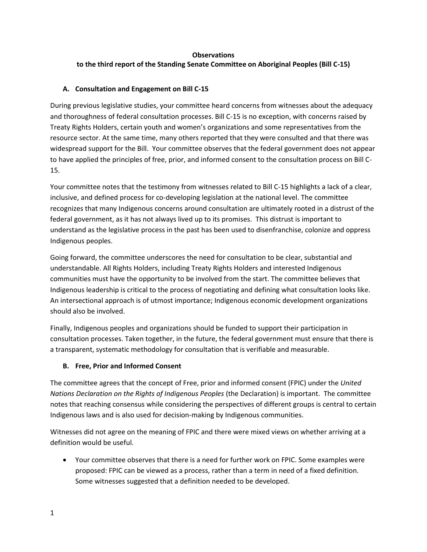#### **Observations to the third report of the Standing Senate Committee on Aboriginal Peoples (Bill C-15)**

#### **A. Consultation and Engagement on Bill C-15**

During previous legislative studies, your committee heard concerns from witnesses about the adequacy and thoroughness of federal consultation processes. Bill C-15 is no exception, with concerns raised by Treaty Rights Holders, certain youth and women's organizations and some representatives from the resource sector. At the same time, many others reported that they were consulted and that there was widespread support for the Bill. Your committee observes that the federal government does not appear to have applied the principles of free, prior, and informed consent to the consultation process on Bill C-15.

Your committee notes that the testimony from witnesses related to Bill C-15 highlights a lack of a clear, inclusive, and defined process for co-developing legislation at the national level. The committee recognizes that many Indigenous concerns around consultation are ultimately rooted in a distrust of the federal government, as it has not always lived up to its promises. This distrust is important to understand as the legislative process in the past has been used to disenfranchise, colonize and oppress Indigenous peoples.

Going forward, the committee underscores the need for consultation to be clear, substantial and understandable. All Rights Holders, including Treaty Rights Holders and interested Indigenous communities must have the opportunity to be involved from the start. The committee believes that Indigenous leadership is critical to the process of negotiating and defining what consultation looks like. An intersectional approach is of utmost importance; Indigenous economic development organizations should also be involved.

Finally, Indigenous peoples and organizations should be funded to support their participation in consultation processes. Taken together, in the future, the federal government must ensure that there is a transparent, systematic methodology for consultation that is verifiable and measurable.

#### **B. Free, Prior and Informed Consent**

The committee agrees that the concept of Free, prior and informed consent (FPIC) under the *United Nations Declaration on the Rights of Indigenous Peoples* (the Declaration) is important. The committee notes that reaching consensus while considering the perspectives of different groups is central to certain Indigenous laws and is also used for decision-making by Indigenous communities.

Witnesses did not agree on the meaning of FPIC and there were mixed views on whether arriving at a definition would be useful.

• Your committee observes that there is a need for further work on FPIC. Some examples were proposed: FPIC can be viewed as a process, rather than a term in need of a fixed definition. Some witnesses suggested that a definition needed to be developed.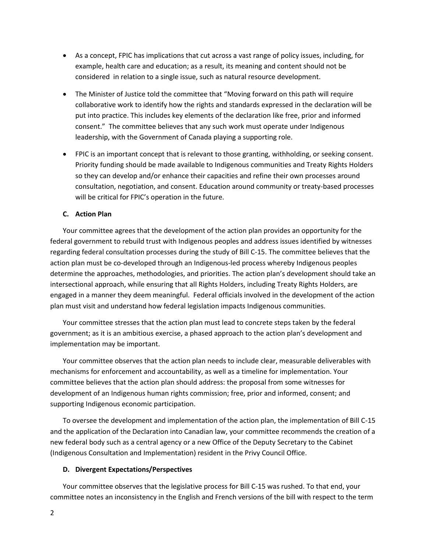- As a concept, FPIC has implications that cut across a vast range of policy issues, including, for example, health care and education; as a result, its meaning and content should not be considered in relation to a single issue, such as natural resource development.
- The Minister of Justice told the committee that "Moving forward on this path will require collaborative work to identify how the rights and standards expressed in the declaration will be put into practice. This includes key elements of the declaration like free, prior and informed consent." The committee believes that any such work must operate under Indigenous leadership, with the Government of Canada playing a supporting role.
- FPIC is an important concept that is relevant to those granting, withholding, or seeking consent. Priority funding should be made available to Indigenous communities and Treaty Rights Holders so they can develop and/or enhance their capacities and refine their own processes around consultation, negotiation, and consent. Education around community or treaty-based processes will be critical for FPIC's operation in the future.

#### **C. Action Plan**

Your committee agrees that the development of the action plan provides an opportunity for the federal government to rebuild trust with Indigenous peoples and address issues identified by witnesses regarding federal consultation processes during the study of Bill C-15. The committee believes that the action plan must be co-developed through an Indigenous-led process whereby Indigenous peoples determine the approaches, methodologies, and priorities. The action plan's development should take an intersectional approach, while ensuring that all Rights Holders, including Treaty Rights Holders, are engaged in a manner they deem meaningful. Federal officials involved in the development of the action plan must visit and understand how federal legislation impacts Indigenous communities.

Your committee stresses that the action plan must lead to concrete steps taken by the federal government; as it is an ambitious exercise, a phased approach to the action plan's development and implementation may be important.

Your committee observes that the action plan needs to include clear, measurable deliverables with mechanisms for enforcement and accountability, as well as a timeline for implementation. Your committee believes that the action plan should address: the proposal from some witnesses for development of an Indigenous human rights commission; free, prior and informed, consent; and supporting Indigenous economic participation.

To oversee the development and implementation of the action plan, the implementation of Bill C-15 and the application of the Declaration into Canadian law, your committee recommends the creation of a new federal body such as a central agency or a new Office of the Deputy Secretary to the Cabinet (Indigenous Consultation and Implementation) resident in the Privy Council Office.

#### **D. Divergent Expectations/Perspectives**

Your committee observes that the legislative process for Bill C-15 was rushed. To that end, your committee notes an inconsistency in the English and French versions of the bill with respect to the term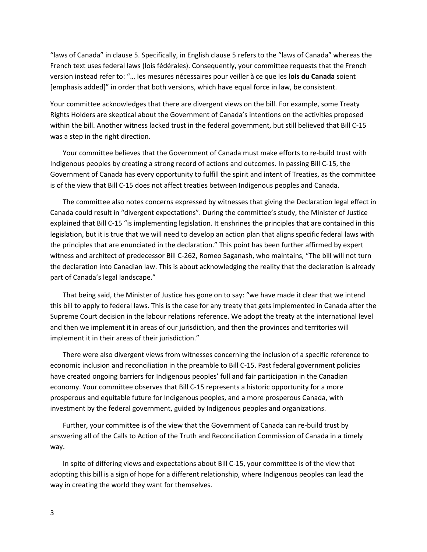"laws of Canada" in clause 5. Specifically, in English clause 5 refers to the "laws of Canada" whereas the French text uses federal laws (lois fédérales). Consequently, your committee requests that the French version instead refer to: "… les mesures nécessaires pour veiller à ce que les **lois du Canada** soient [emphasis added]" in order that both versions, which have equal force in law, be consistent.

Your committee acknowledges that there are divergent views on the bill. For example, some Treaty Rights Holders are skeptical about the Government of Canada's intentions on the activities proposed within the bill. Another witness lacked trust in the federal government, but still believed that Bill C-15 was a step in the right direction.

Your committee believes that the Government of Canada must make efforts to re-build trust with Indigenous peoples by creating a strong record of actions and outcomes. In passing Bill C-15, the Government of Canada has every opportunity to fulfill the spirit and intent of Treaties, as the committee is of the view that Bill C-15 does not affect treaties between Indigenous peoples and Canada.

The committee also notes concerns expressed by witnesses that giving the Declaration legal effect in Canada could result in "divergent expectations". During the committee's study, the Minister of Justice explained that Bill C-15 "is implementing legislation. It enshrines the principles that are contained in this legislation, but it is true that we will need to develop an action plan that aligns specific federal laws with the principles that are enunciated in the declaration." This point has been further affirmed by expert witness and architect of predecessor Bill C-262, Romeo Saganash, who maintains, "The bill will not turn the declaration into Canadian law. This is about acknowledging the reality that the declaration is already part of Canada's legal landscape."

That being said, the Minister of Justice has gone on to say: "we have made it clear that we intend this bill to apply to federal laws. This is the case for any treaty that gets implemented in Canada after the Supreme Court decision in the labour relations reference. We adopt the treaty at the international level and then we implement it in areas of our jurisdiction, and then the provinces and territories will implement it in their areas of their jurisdiction."

There were also divergent views from witnesses concerning the inclusion of a specific reference to economic inclusion and reconciliation in the preamble to Bill C-15. Past federal government policies have created ongoing barriers for Indigenous peoples' full and fair participation in the Canadian economy. Your committee observes that Bill C-15 represents a historic opportunity for a more prosperous and equitable future for Indigenous peoples, and a more prosperous Canada, with investment by the federal government, guided by Indigenous peoples and organizations.

Further, your committee is of the view that the Government of Canada can re-build trust by answering all of the Calls to Action of the Truth and Reconciliation Commission of Canada in a timely way.

In spite of differing views and expectations about Bill C-15, your committee is of the view that adopting this bill is a sign of hope for a different relationship, where Indigenous peoples can lead the way in creating the world they want for themselves.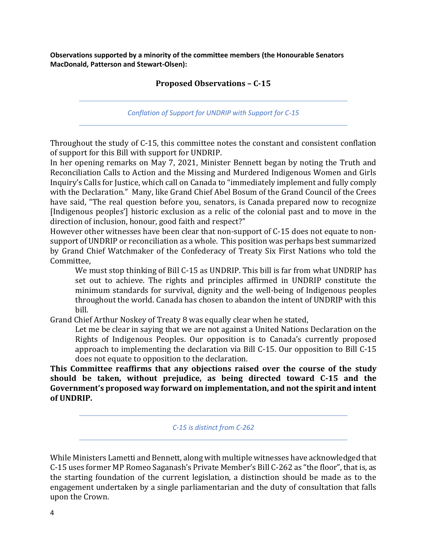**Observations supported by a minority of the committee members (the Honourable Senators MacDonald, Patterson and Stewart-Olsen):**

#### **Proposed Observations – C-15**

*Conflation of Support for UNDRIP with Support for C-15*

Throughout the study of C-15, this committee notes the constant and consistent conflation of support for this Bill with support for UNDRIP.

In her opening remarks on May 7, 2021, Minister Bennett began by noting the Truth and Reconciliation Calls to Action and the Missing and Murdered Indigenous Women and Girls Inquiry's Calls for Justice, which call on Canada to "immediately implement and fully comply with the Declaration." Many, like Grand Chief Abel Bosum of the Grand Council of the Crees have said, "The real question before you, senators, is Canada prepared now to recognize [Indigenous peoples'] historic exclusion as a relic of the colonial past and to move in the direction of inclusion, honour, good faith and respect?"

However other witnesses have been clear that non-support of C-15 does not equate to nonsupport of UNDRIP or reconciliation as a whole. This position was perhaps best summarized by Grand Chief Watchmaker of the Confederacy of Treaty Six First Nations who told the Committee,

We must stop thinking of Bill C-15 as UNDRIP. This bill is far from what UNDRIP has set out to achieve. The rights and principles affirmed in UNDRIP constitute the minimum standards for survival, dignity and the well-being of Indigenous peoples throughout the world. Canada has chosen to abandon the intent of UNDRIP with this bill.

Grand Chief Arthur Noskey of Treaty 8 was equally clear when he stated,

Let me be clear in saying that we are not against a United Nations Declaration on the Rights of Indigenous Peoples. Our opposition is to Canada's currently proposed approach to implementing the declaration via Bill C-15. Our opposition to Bill C-15 does not equate to opposition to the declaration.

**This Committee reaffirms that any objections raised over the course of the study should be taken, without prejudice, as being directed toward C-15 and the Government's proposed way forward on implementation, and not the spirit and intent of UNDRIP.** 

*C-15 is distinct from C-262*

While Ministers Lametti and Bennett, along with multiple witnesses have acknowledged that C-15 uses former MP Romeo Saganash's Private Member's Bill C-262 as "the floor", that is, as the starting foundation of the current legislation, a distinction should be made as to the engagement undertaken by a single parliamentarian and the duty of consultation that falls upon the Crown.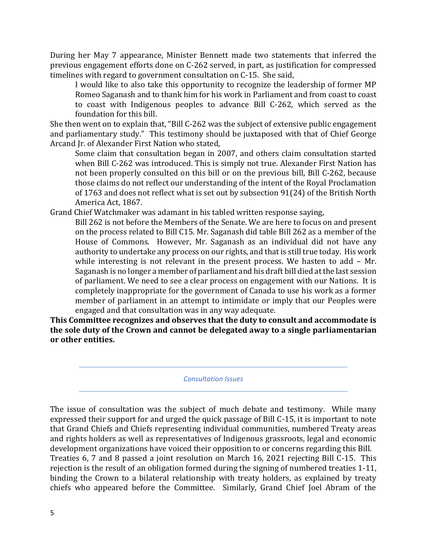During her May 7 appearance, Minister Bennett made two statements that inferred the previous engagement efforts done on C-262 served, in part, as justification for compressed timelines with regard to government consultation on C-15. She said,

I would like to also take this opportunity to recognize the leadership of former MP Romeo Saganash and to thank him for his work in Parliament and from coast to coast to coast with Indigenous peoples to advance Bill C-262, which served as the foundation for this bill.

She then went on to explain that, "Bill C-262 was the subject of extensive public engagement and parliamentary study." This testimony should be juxtaposed with that of Chief George Arcand Jr. of Alexander First Nation who stated,

Some claim that consultation began in 2007, and others claim consultation started when Bill C-262 was introduced. This is simply not true. Alexander First Nation has not been properly consulted on this bill or on the previous bill, Bill C-262, because those claims do not reflect our understanding of the intent of the Royal Proclamation of 1763 and does not reflect what is set out by subsection 91(24) of the British North America Act, 1867.

Grand Chief Watchmaker was adamant in his tabled written response saying,

Bill 262 is not before the Members of the Senate. We are here to focus on and present on the process related to Bill C15. Mr. Saganash did table Bill 262 as a member of the House of Commons. However, Mr. Saganash as an individual did not have any authority to undertake any process on our rights, and that is still true today. His work while interesting is not relevant in the present process. We hasten to add – Mr. Saganash is no longer a member of parliament and his draft bill died at the last session of parliament. We need to see a clear process on engagement with our Nations. It is completely inappropriate for the government of Canada to use his work as a former member of parliament in an attempt to intimidate or imply that our Peoples were engaged and that consultation was in any way adequate.

**This Committee recognizes and observes that the duty to consult and accommodate is the sole duty of the Crown and cannot be delegated away to a single parliamentarian or other entities.** 

*Consultation Issues*

The issue of consultation was the subject of much debate and testimony. While many expressed their support for and urged the quick passage of Bill C-15, it is important to note that Grand Chiefs and Chiefs representing individual communities, numbered Treaty areas and rights holders as well as representatives of Indigenous grassroots, legal and economic development organizations have voiced their opposition to or concerns regarding this Bill. Treaties 6, 7 and 8 passed a joint resolution on March 16, 2021 rejecting Bill C-15. This rejection is the result of an obligation formed during the signing of numbered treaties 1-11, binding the Crown to a bilateral relationship with treaty holders, as explained by treaty chiefs who appeared before the Committee. Similarly, Grand Chief Joel Abram of the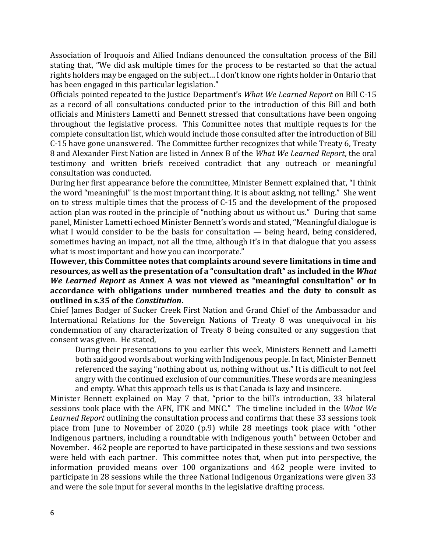Association of Iroquois and Allied Indians denounced the consultation process of the Bill stating that, "We did ask multiple times for the process to be restarted so that the actual rights holders may be engaged on the subject… I don't know one rights holder in Ontario that has been engaged in this particular legislation."

Officials pointed repeated to the Justice Department's *What We Learned Report* on Bill C-15 as a record of all consultations conducted prior to the introduction of this Bill and both officials and Ministers Lametti and Bennett stressed that consultations have been ongoing throughout the legislative process. This Committee notes that multiple requests for the complete consultation list, which would include those consulted after the introduction of Bill C-15 have gone unanswered. The Committee further recognizes that while Treaty 6, Treaty 8 and Alexander First Nation are listed in Annex B of the *What We Learned Report*, the oral testimony and written briefs received contradict that any outreach or meaningful consultation was conducted.

During her first appearance before the committee, Minister Bennett explained that, "I think the word "meaningful" is the most important thing. It is about asking, not telling." She went on to stress multiple times that the process of C-15 and the development of the proposed action plan was rooted in the principle of "nothing about us without us." During that same panel, Minister Lametti echoed Minister Bennett's words and stated, "Meaningful dialogue is what I would consider to be the basis for consultation — being heard, being considered, sometimes having an impact, not all the time, although it's in that dialogue that you assess what is most important and how you can incorporate."

**However, this Committee notes that complaints around severe limitations in time and resources, as well as the presentation of a "consultation draft" as included in the** *What We Learned Report* **as Annex A was not viewed as "meaningful consultation" or in accordance with obligations under numbered treaties and the duty to consult as outlined in s.35 of the** *Constitution***.**

Chief James Badger of Sucker Creek First Nation and Grand Chief of the Ambassador and International Relations for the Sovereign Nations of Treaty 8 was unequivocal in his condemnation of any characterization of Treaty 8 being consulted or any suggestion that consent was given. He stated,

During their presentations to you earlier this week, Ministers Bennett and Lametti both said good words about working with Indigenous people. In fact, Minister Bennett referenced the saying "nothing about us, nothing without us." It is difficult to not feel angry with the continued exclusion of our communities. These words are meaningless and empty. What this approach tells us is that Canada is lazy and insincere.

Minister Bennett explained on May 7 that, "prior to the bill's introduction, 33 bilateral sessions took place with the AFN, ITK and MNC." The timeline included in the *What We Learned Report* outlining the consultation process and confirms that these 33 sessions took place from June to November of 2020 (p.9) while 28 meetings took place with "other Indigenous partners, including a roundtable with Indigenous youth" between October and November. 462 people are reported to have participated in these sessions and two sessions were held with each partner. This committee notes that, when put into perspective, the information provided means over 100 organizations and 462 people were invited to participate in 28 sessions while the three National Indigenous Organizations were given 33 and were the sole input for several months in the legislative drafting process.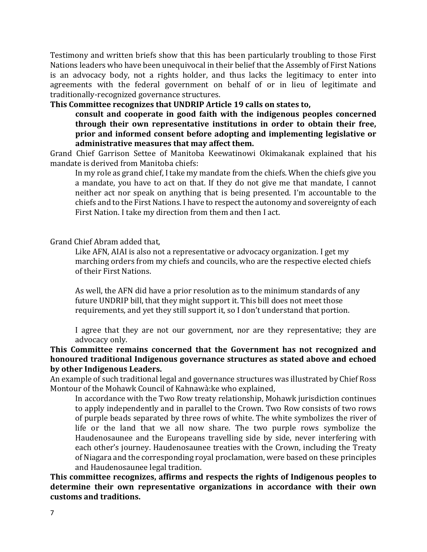Testimony and written briefs show that this has been particularly troubling to those First Nations leaders who have been unequivocal in their belief that the Assembly of First Nations is an advocacy body, not a rights holder, and thus lacks the legitimacy to enter into agreements with the federal government on behalf of or in lieu of legitimate and traditionally-recognized governance structures.

### **This Committee recognizes that UNDRIP Article 19 calls on states to,**

**consult and cooperate in good faith with the indigenous peoples concerned through their own representative institutions in order to obtain their free, prior and informed consent before adopting and implementing legislative or administrative measures that may affect them.**

Grand Chief Garrison Settee of Manitoba Keewatinowi Okimakanak explained that his mandate is derived from Manitoba chiefs:

In my role as grand chief, I take my mandate from the chiefs. When the chiefs give you a mandate, you have to act on that. If they do not give me that mandate, I cannot neither act nor speak on anything that is being presented. I'm accountable to the chiefs and to the First Nations. I have to respect the autonomy and sovereignty of each First Nation. I take my direction from them and then I act.

### Grand Chief Abram added that,

Like AFN, AIAI is also not a representative or advocacy organization. I get my marching orders from my chiefs and councils, who are the respective elected chiefs of their First Nations.

As well, the AFN did have a prior resolution as to the minimum standards of any future UNDRIP bill, that they might support it. This bill does not meet those requirements, and yet they still support it, so I don't understand that portion.

I agree that they are not our government, nor are they representative; they are advocacy only.

# **This Committee remains concerned that the Government has not recognized and honoured traditional Indigenous governance structures as stated above and echoed by other Indigenous Leaders.**

An example of such traditional legal and governance structures was illustrated by Chief Ross Montour of the Mohawk Council of Kahnawà:ke who explained,

In accordance with the Two Row treaty relationship, Mohawk jurisdiction continues to apply independently and in parallel to the Crown. Two Row consists of two rows of purple beads separated by three rows of white. The white symbolizes the river of life or the land that we all now share. The two purple rows symbolize the Haudenosaunee and the Europeans travelling side by side, never interfering with each other's journey. Haudenosaunee treaties with the Crown, including the Treaty of Niagara and the corresponding royal proclamation, were based on these principles and Haudenosaunee legal tradition.

**This committee recognizes, affirms and respects the rights of Indigenous peoples to determine their own representative organizations in accordance with their own customs and traditions.**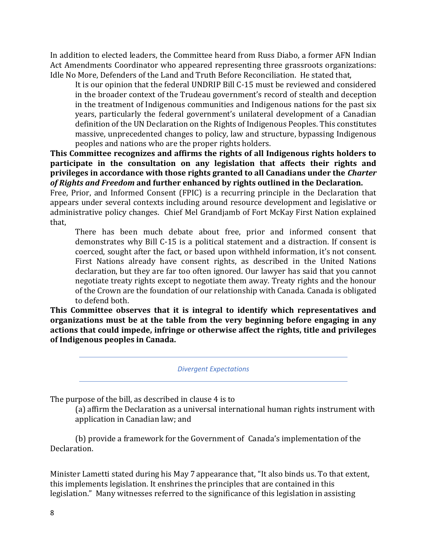In addition to elected leaders, the Committee heard from Russ Diabo, a former AFN Indian Act Amendments Coordinator who appeared representing three grassroots organizations: Idle No More, Defenders of the Land and Truth Before Reconciliation. He stated that,

It is our opinion that the federal UNDRIP Bill C-15 must be reviewed and considered in the broader context of the Trudeau government's record of stealth and deception in the treatment of Indigenous communities and Indigenous nations for the past six years, particularly the federal government's unilateral development of a Canadian definition of the UN Declaration on the Rights of Indigenous Peoples. This constitutes massive, unprecedented changes to policy, law and structure, bypassing Indigenous peoples and nations who are the proper rights holders.

**This Committee recognizes and affirms the rights of all Indigenous rights holders to participate in the consultation on any legislation that affects their rights and privileges in accordance with those rights granted to all Canadians under the** *Charter of Rights and Freedom* **and further enhanced by rights outlined in the Declaration.**

Free, Prior, and Informed Consent (FPIC) is a recurring principle in the Declaration that appears under several contexts including around resource development and legislative or administrative policy changes. Chief Mel Grandjamb of Fort McKay First Nation explained that,

There has been much debate about free, prior and informed consent that demonstrates why Bill C-15 is a political statement and a distraction. If consent is coerced, sought after the fact, or based upon withheld information, it's not consent. First Nations already have consent rights, as described in the United Nations declaration, but they are far too often ignored. Our lawyer has said that you cannot negotiate treaty rights except to negotiate them away. Treaty rights and the honour of the Crown are the foundation of our relationship with Canada. Canada is obligated to defend both.

**This Committee observes that it is integral to identify which representatives and organizations must be at the table from the very beginning before engaging in any actions that could impede, infringe or otherwise affect the rights, title and privileges of Indigenous peoples in Canada.**

*Divergent Expectations*

The purpose of the bill, as described in clause 4 is to

(a) affirm the Declaration as a universal international human rights instrument with application in Canadian law; and

(b) provide a framework for the Government of Canada's implementation of the Declaration.

Minister Lametti stated during his May 7 appearance that, "It also binds us. To that extent, this implements legislation. It enshrines the principles that are contained in this legislation." Many witnesses referred to the significance of this legislation in assisting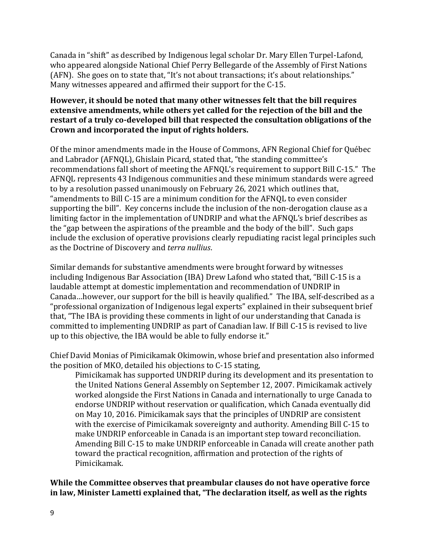Canada in "shift" as described by Indigenous legal scholar Dr. Mary Ellen Turpel-Lafond, who appeared alongside National Chief Perry Bellegarde of the Assembly of First Nations (AFN). She goes on to state that, "It's not about transactions; it's about relationships." Many witnesses appeared and affirmed their support for the C-15.

# **However, it should be noted that many other witnesses felt that the bill requires extensive amendments, while others yet called for the rejection of the bill and the restart of a truly co-developed bill that respected the consultation obligations of the Crown and incorporated the input of rights holders.**

Of the minor amendments made in the House of Commons, AFN Regional Chief for Québec and Labrador (AFNQL), Ghislain Picard, stated that, "the standing committee's recommendations fall short of meeting the AFNQL's requirement to support Bill C-15." The AFNQL represents 43 Indigenous communities and these minimum standards were agreed to by a resolution passed unanimously on February 26, 2021 which outlines that, "amendments to Bill C-15 are a minimum condition for the AFNQL to even consider supporting the bill". Key concerns include the inclusion of the non-derogation clause as a limiting factor in the implementation of UNDRIP and what the AFNQL's brief describes as the "gap between the aspirations of the preamble and the body of the bill". Such gaps include the exclusion of operative provisions clearly repudiating racist legal principles such as the Doctrine of Discovery and *terra nullius*.

Similar demands for substantive amendments were brought forward by witnesses including Indigenous Bar Association (IBA) Drew Lafond who stated that, "Bill C-15 is a laudable attempt at domestic implementation and recommendation of UNDRIP in Canada…however, our support for the bill is heavily qualified." The IBA, self-described as a "professional organization of Indigenous legal experts" explained in their subsequent brief that, "The IBA is providing these comments in light of our understanding that Canada is committed to implementing UNDRIP as part of Canadian law. If Bill C-15 is revised to live up to this objective, the IBA would be able to fully endorse it."

Chief David Monias of Pimicikamak Okimowin, whose brief and presentation also informed the position of MKO, detailed his objections to C-15 stating,

Pimicikamak has supported UNDRIP during its development and its presentation to the United Nations General Assembly on September 12, 2007. Pimicikamak actively worked alongside the First Nations in Canada and internationally to urge Canada to endorse UNDRIP without reservation or qualification, which Canada eventually did on May 10, 2016. Pimicikamak says that the principles of UNDRIP are consistent with the exercise of Pimicikamak sovereignty and authority. Amending Bill C-15 to make UNDRIP enforceable in Canada is an important step toward reconciliation. Amending Bill C-15 to make UNDRIP enforceable in Canada will create another path toward the practical recognition, affirmation and protection of the rights of Pimicikamak.

**While the Committee observes that preambular clauses do not have operative force in law, Minister Lametti explained that, "The declaration itself, as well as the rights**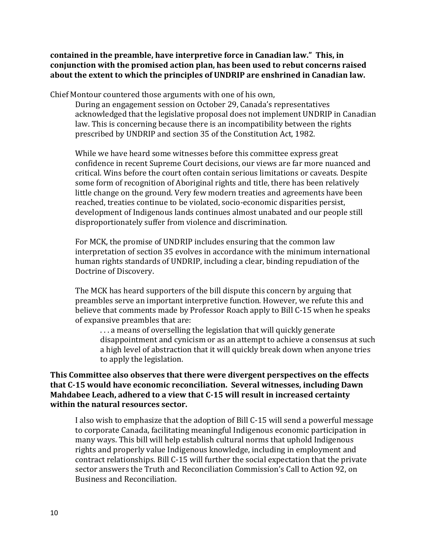**contained in the preamble, have interpretive force in Canadian law." This, in conjunction with the promised action plan, has been used to rebut concerns raised about the extent to which the principles of UNDRIP are enshrined in Canadian law.** 

Chief Montour countered those arguments with one of his own,

During an engagement session on October 29, Canada's representatives acknowledged that the legislative proposal does not implement UNDRIP in Canadian law. This is concerning because there is an incompatibility between the rights prescribed by UNDRIP and section 35 of the Constitution Act, 1982.

While we have heard some witnesses before this committee express great confidence in recent Supreme Court decisions, our views are far more nuanced and critical. Wins before the court often contain serious limitations or caveats. Despite some form of recognition of Aboriginal rights and title, there has been relatively little change on the ground. Very few modern treaties and agreements have been reached, treaties continue to be violated, socio-economic disparities persist, development of Indigenous lands continues almost unabated and our people still disproportionately suffer from violence and discrimination.

For MCK, the promise of UNDRIP includes ensuring that the common law interpretation of section 35 evolves in accordance with the minimum international human rights standards of UNDRIP, including a clear, binding repudiation of the Doctrine of Discovery.

The MCK has heard supporters of the bill dispute this concern by arguing that preambles serve an important interpretive function. However, we refute this and believe that comments made by Professor Roach apply to Bill C-15 when he speaks of expansive preambles that are:

. . . a means of overselling the legislation that will quickly generate disappointment and cynicism or as an attempt to achieve a consensus at such a high level of abstraction that it will quickly break down when anyone tries to apply the legislation.

**This Committee also observes that there were divergent perspectives on the effects that C-15 would have economic reconciliation. Several witnesses, including Dawn Mahdabee Leach, adhered to a view that C-15 will result in increased certainty within the natural resources sector.** 

I also wish to emphasize that the adoption of Bill C-15 will send a powerful message to corporate Canada, facilitating meaningful Indigenous economic participation in many ways. This bill will help establish cultural norms that uphold Indigenous rights and properly value Indigenous knowledge, including in employment and contract relationships. Bill C-15 will further the social expectation that the private sector answers the Truth and Reconciliation Commission's Call to Action 92, on Business and Reconciliation.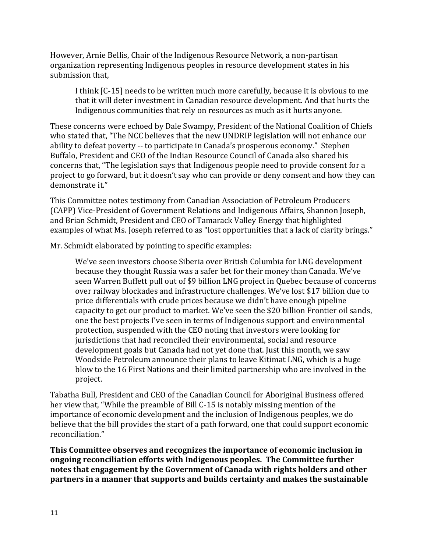However, Arnie Bellis, Chair of the Indigenous Resource Network, a non-partisan organization representing Indigenous peoples in resource development states in his submission that,

I think [C-15] needs to be written much more carefully, because it is obvious to me that it will deter investment in Canadian resource development. And that hurts the Indigenous communities that rely on resources as much as it hurts anyone.

These concerns were echoed by Dale Swampy, President of the National Coalition of Chiefs who stated that, "The NCC believes that the new UNDRIP legislation will not enhance our ability to defeat poverty -- to participate in Canada's prosperous economy." Stephen Buffalo, President and CEO of the Indian Resource Council of Canada also shared his concerns that, "The legislation says that Indigenous people need to provide consent for a project to go forward, but it doesn't say who can provide or deny consent and how they can demonstrate it."

This Committee notes testimony from Canadian Association of Petroleum Producers (CAPP) Vice-President of Government Relations and Indigenous Affairs, Shannon Joseph, and Brian Schmidt, President and CEO of Tamarack Valley Energy that highlighted examples of what Ms. Joseph referred to as "lost opportunities that a lack of clarity brings."

Mr. Schmidt elaborated by pointing to specific examples:

We've seen investors choose Siberia over British Columbia for LNG development because they thought Russia was a safer bet for their money than Canada. We've seen Warren Buffett pull out of \$9 billion LNG project in Quebec because of concerns over railway blockades and infrastructure challenges. We've lost \$17 billion due to price differentials with crude prices because we didn't have enough pipeline capacity to get our product to market. We've seen the \$20 billion Frontier oil sands, one the best projects I've seen in terms of Indigenous support and environmental protection, suspended with the CEO noting that investors were looking for jurisdictions that had reconciled their environmental, social and resource development goals but Canada had not yet done that. Just this month, we saw Woodside Petroleum announce their plans to leave Kitimat LNG, which is a huge blow to the 16 First Nations and their limited partnership who are involved in the project.

Tabatha Bull, President and CEO of the Canadian Council for Aboriginal Business offered her view that, "While the preamble of Bill C-15 is notably missing mention of the importance of economic development and the inclusion of Indigenous peoples, we do believe that the bill provides the start of a path forward, one that could support economic reconciliation."

**This Committee observes and recognizes the importance of economic inclusion in ongoing reconciliation efforts with Indigenous peoples. The Committee further notes that engagement by the Government of Canada with rights holders and other partners in a manner that supports and builds certainty and makes the sustainable**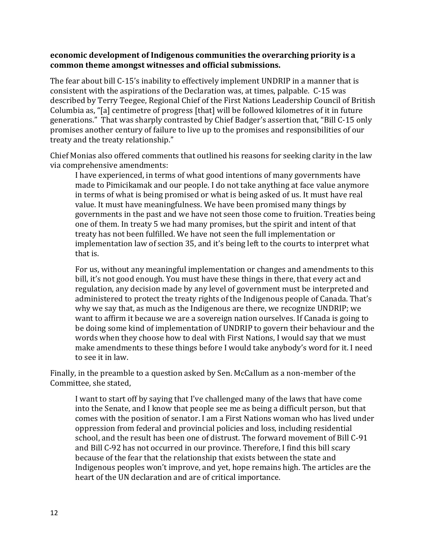## **economic development of Indigenous communities the overarching priority is a common theme amongst witnesses and official submissions.**

The fear about bill C-15's inability to effectively implement UNDRIP in a manner that is consistent with the aspirations of the Declaration was, at times, palpable. C-15 was described by Terry Teegee, Regional Chief of the First Nations Leadership Council of British Columbia as, "[a] centimetre of progress [that] will be followed kilometres of it in future generations." That was sharply contrasted by Chief Badger's assertion that, "Bill C-15 only promises another century of failure to live up to the promises and responsibilities of our treaty and the treaty relationship."

Chief Monias also offered comments that outlined his reasons for seeking clarity in the law via comprehensive amendments:

I have experienced, in terms of what good intentions of many governments have made to Pimicikamak and our people. I do not take anything at face value anymore in terms of what is being promised or what is being asked of us. It must have real value. It must have meaningfulness. We have been promised many things by governments in the past and we have not seen those come to fruition. Treaties being one of them. In treaty 5 we had many promises, but the spirit and intent of that treaty has not been fulfilled. We have not seen the full implementation or implementation law of section 35, and it's being left to the courts to interpret what that is.

For us, without any meaningful implementation or changes and amendments to this bill, it's not good enough. You must have these things in there, that every act and regulation, any decision made by any level of government must be interpreted and administered to protect the treaty rights of the Indigenous people of Canada. That's why we say that, as much as the Indigenous are there, we recognize UNDRIP; we want to affirm it because we are a sovereign nation ourselves. If Canada is going to be doing some kind of implementation of UNDRIP to govern their behaviour and the words when they choose how to deal with First Nations, I would say that we must make amendments to these things before I would take anybody's word for it. I need to see it in law.

Finally, in the preamble to a question asked by Sen. McCallum as a non-member of the Committee, she stated,

I want to start off by saying that I've challenged many of the laws that have come into the Senate, and I know that people see me as being a difficult person, but that comes with the position of senator. I am a First Nations woman who has lived under oppression from federal and provincial policies and loss, including residential school, and the result has been one of distrust. The forward movement of Bill C-91 and Bill C-92 has not occurred in our province. Therefore, I find this bill scary because of the fear that the relationship that exists between the state and Indigenous peoples won't improve, and yet, hope remains high. The articles are the heart of the UN declaration and are of critical importance.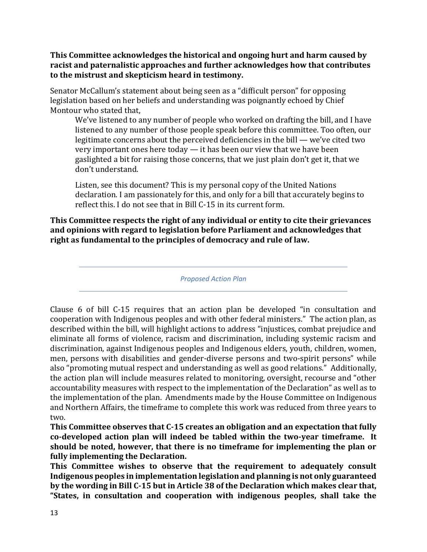**This Committee acknowledges the historical and ongoing hurt and harm caused by racist and paternalistic approaches and further acknowledges how that contributes to the mistrust and skepticism heard in testimony.** 

Senator McCallum's statement about being seen as a "difficult person" for opposing legislation based on her beliefs and understanding was poignantly echoed by Chief Montour who stated that,

We've listened to any number of people who worked on drafting the bill, and I have listened to any number of those people speak before this committee. Too often, our legitimate concerns about the perceived deficiencies in the bill — we've cited two very important ones here today — it has been our view that we have been gaslighted a bit for raising those concerns, that we just plain don't get it, that we don't understand.

Listen, see this document? This is my personal copy of the United Nations declaration. I am passionately for this, and only for a bill that accurately begins to reflect this. I do not see that in Bill C-15 in its current form.

**This Committee respects the right of any individual or entity to cite their grievances and opinions with regard to legislation before Parliament and acknowledges that right as fundamental to the principles of democracy and rule of law.**

*Proposed Action Plan*

Clause 6 of bill C-15 requires that an action plan be developed "in consultation and cooperation with Indigenous peoples and with other federal ministers." The action plan, as described within the bill, will highlight actions to address "injustices, combat prejudice and eliminate all forms of violence, racism and discrimination, including systemic racism and discrimination, against Indigenous peoples and Indigenous elders, youth, children, women, men, persons with disabilities and gender-diverse persons and two-spirit persons" while also "promoting mutual respect and understanding as well as good relations." Additionally, the action plan will include measures related to monitoring, oversight, recourse and "other accountability measures with respect to the implementation of the Declaration" as well as to the implementation of the plan. Amendments made by the House Committee on Indigenous and Northern Affairs, the timeframe to complete this work was reduced from three years to two.

**This Committee observes that C-15 creates an obligation and an expectation that fully co-developed action plan will indeed be tabled within the two-year timeframe. It should be noted, however, that there is no timeframe for implementing the plan or fully implementing the Declaration.**

**This Committee wishes to observe that the requirement to adequately consult Indigenous peoples in implementation legislation and planning is not only guaranteed by the wording in Bill C-15 but in Article 38 of the Declaration which makes clear that, "States, in consultation and cooperation with indigenous peoples, shall take the**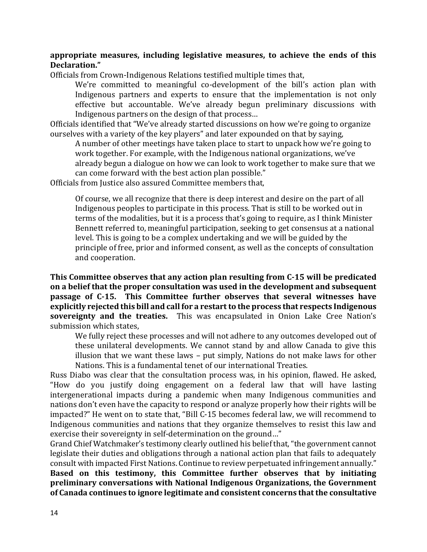## **appropriate measures, including legislative measures, to achieve the ends of this Declaration."**

Officials from Crown-Indigenous Relations testified multiple times that,

We're committed to meaningful co-development of the bill's action plan with Indigenous partners and experts to ensure that the implementation is not only effective but accountable. We've already begun preliminary discussions with Indigenous partners on the design of that process…

Officials identified that "We've already started discussions on how we're going to organize ourselves with a variety of the key players" and later expounded on that by saying,

A number of other meetings have taken place to start to unpack how we're going to work together. For example, with the Indigenous national organizations, we've already begun a dialogue on how we can look to work together to make sure that we can come forward with the best action plan possible."

Officials from Justice also assured Committee members that,

Of course, we all recognize that there is deep interest and desire on the part of all Indigenous peoples to participate in this process. That is still to be worked out in terms of the modalities, but it is a process that's going to require, as I think Minister Bennett referred to, meaningful participation, seeking to get consensus at a national level. This is going to be a complex undertaking and we will be guided by the principle of free, prior and informed consent, as well as the concepts of consultation and cooperation.

**This Committee observes that any action plan resulting from C-15 will be predicated on a belief that the proper consultation was used in the development and subsequent passage of C-15. This Committee further observes that several witnesses have explicitly rejected this bill and call for a restart to the process that respects Indigenous sovereignty and the treaties.** This was encapsulated in Onion Lake Cree Nation's submission which states,

We fully reject these processes and will not adhere to any outcomes developed out of these unilateral developments. We cannot stand by and allow Canada to give this illusion that we want these laws – put simply, Nations do not make laws for other Nations. This is a fundamental tenet of our international Treaties.

Russ Diabo was clear that the consultation process was, in his opinion, flawed. He asked, "How do you justify doing engagement on a federal law that will have lasting intergenerational impacts during a pandemic when many Indigenous communities and nations don't even have the capacity to respond or analyze properly how their rights will be impacted?" He went on to state that, "Bill C-15 becomes federal law, we will recommend to Indigenous communities and nations that they organize themselves to resist this law and exercise their sovereignty in self-determination on the ground…"

Grand Chief Watchmaker's testimony clearly outlined his belief that, "the government cannot legislate their duties and obligations through a national action plan that fails to adequately consult with impacted First Nations. Continue to review perpetuated infringement annually." **Based on this testimony, this Committee further observes that by initiating preliminary conversations with National Indigenous Organizations, the Government of Canada continues to ignore legitimate and consistent concerns that the consultative**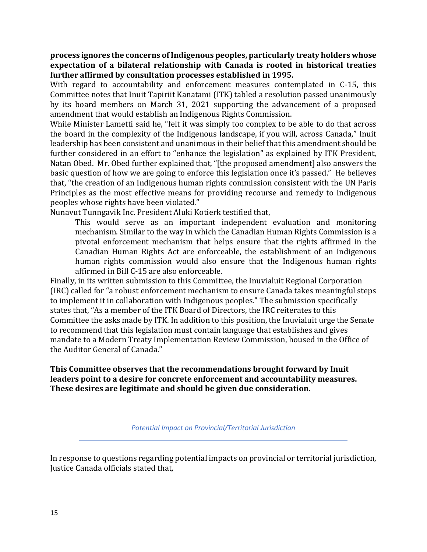## **process ignores the concerns of Indigenous peoples, particularly treaty holders whose expectation of a bilateral relationship with Canada is rooted in historical treaties further affirmed by consultation processes established in 1995.**

With regard to accountability and enforcement measures contemplated in C-15, this Committee notes that Inuit Tapiriit Kanatami (ITK) tabled a resolution passed unanimously by its board members on March 31, 2021 supporting the advancement of a proposed amendment that would establish an Indigenous Rights Commission.

While Minister Lametti said he, "felt it was simply too complex to be able to do that across the board in the complexity of the Indigenous landscape, if you will, across Canada," Inuit leadership has been consistent and unanimous in their belief that this amendment should be further considered in an effort to "enhance the legislation" as explained by ITK President, Natan Obed. Mr. Obed further explained that, "[the proposed amendment] also answers the basic question of how we are going to enforce this legislation once it's passed." He believes that, "the creation of an Indigenous human rights commission consistent with the UN Paris Principles as the most effective means for providing recourse and remedy to Indigenous peoples whose rights have been violated."

Nunavut Tunngavik Inc. President Aluki Kotierk testified that,

This would serve as an important independent evaluation and monitoring mechanism. Similar to the way in which the Canadian Human Rights Commission is a pivotal enforcement mechanism that helps ensure that the rights affirmed in the Canadian Human Rights Act are enforceable, the establishment of an Indigenous human rights commission would also ensure that the Indigenous human rights affirmed in Bill C-15 are also enforceable.

Finally, in its written submission to this Committee, the Inuvialuit Regional Corporation (IRC) called for "a robust enforcement mechanism to ensure Canada takes meaningful steps to implement it in collaboration with Indigenous peoples." The submission specifically states that, "As a member of the ITK Board of Directors, the IRC reiterates to this Committee the asks made by ITK. In addition to this position, the Inuvialuit urge the Senate to recommend that this legislation must contain language that establishes and gives mandate to a Modern Treaty Implementation Review Commission, housed in the Office of the Auditor General of Canada."

# **This Committee observes that the recommendations brought forward by Inuit leaders point to a desire for concrete enforcement and accountability measures. These desires are legitimate and should be given due consideration.**

*Potential Impact on Provincial/Territorial Jurisdiction*

In response to questions regarding potential impacts on provincial or territorial jurisdiction, Justice Canada officials stated that,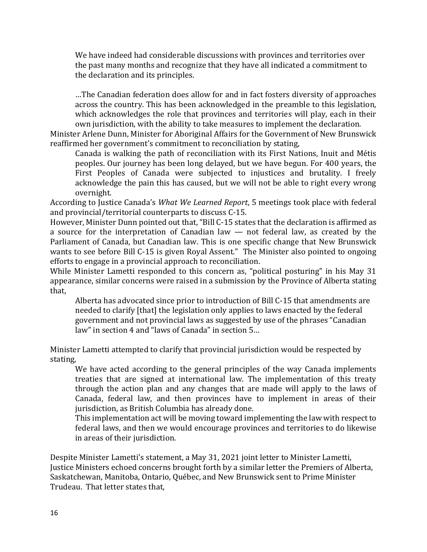We have indeed had considerable discussions with provinces and territories over the past many months and recognize that they have all indicated a commitment to the declaration and its principles.

…The Canadian federation does allow for and in fact fosters diversity of approaches across the country. This has been acknowledged in the preamble to this legislation, which acknowledges the role that provinces and territories will play, each in their own jurisdiction, with the ability to take measures to implement the declaration.

Minister Arlene Dunn, Minister for Aboriginal Affairs for the Government of New Brunswick reaffirmed her government's commitment to reconciliation by stating,

Canada is walking the path of reconciliation with its First Nations, Inuit and Métis peoples. Our journey has been long delayed, but we have begun. For 400 years, the First Peoples of Canada were subjected to injustices and brutality. I freely acknowledge the pain this has caused, but we will not be able to right every wrong overnight.

According to Justice Canada's *What We Learned Report*, 5 meetings took place with federal and provincial/territorial counterparts to discuss C-15.

However, Minister Dunn pointed out that, "Bill C-15 states that the declaration is affirmed as a source for the interpretation of Canadian law — not federal law, as created by the Parliament of Canada, but Canadian law. This is one specific change that New Brunswick wants to see before Bill C-15 is given Royal Assent." The Minister also pointed to ongoing efforts to engage in a provincial approach to reconciliation.

While Minister Lametti responded to this concern as, "political posturing" in his May 31 appearance, similar concerns were raised in a submission by the Province of Alberta stating that,

Alberta has advocated since prior to introduction of Bill C-15 that amendments are needed to clarify [that] the legislation only applies to laws enacted by the federal government and not provincial laws as suggested by use of the phrases "Canadian law" in section 4 and "laws of Canada" in section 5…

Minister Lametti attempted to clarify that provincial jurisdiction would be respected by stating,

We have acted according to the general principles of the way Canada implements treaties that are signed at international law. The implementation of this treaty through the action plan and any changes that are made will apply to the laws of Canada, federal law, and then provinces have to implement in areas of their jurisdiction, as British Columbia has already done.

This implementation act will be moving toward implementing the law with respect to federal laws, and then we would encourage provinces and territories to do likewise in areas of their jurisdiction.

Despite Minister Lametti's statement, a May 31, 2021 joint letter to Minister Lametti, Justice Ministers echoed concerns brought forth by a similar letter the Premiers of Alberta, Saskatchewan, Manitoba, Ontario, Québec, and New Brunswick sent to Prime Minister Trudeau. That letter states that,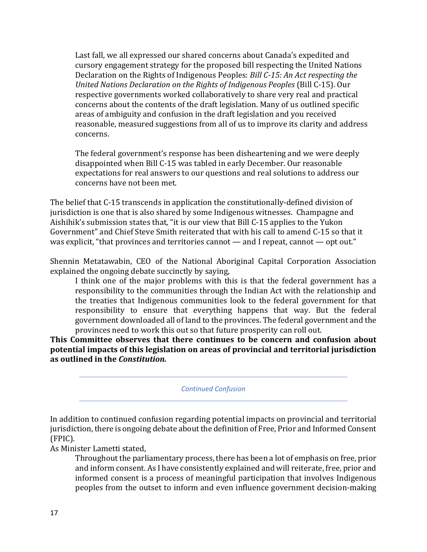Last fall, we all expressed our shared concerns about Canada's expedited and cursory engagement strategy for the proposed bill respecting the United Nations Declaration on the Rights of Indigenous Peoples: *Bill C-15: An Act respecting the United Nations Declaration on the Rights of Indigenous Peoples* (Bill C-15). Our respective governments worked collaboratively to share very real and practical concerns about the contents of the draft legislation. Many of us outlined specific areas of ambiguity and confusion in the draft legislation and you received reasonable, measured suggestions from all of us to improve its clarity and address concerns.

The federal government's response has been disheartening and we were deeply disappointed when Bill C-15 was tabled in early December. Our reasonable expectations for real answers to our questions and real solutions to address our concerns have not been met.

The belief that C-15 transcends in application the constitutionally-defined division of jurisdiction is one that is also shared by some Indigenous witnesses. Champagne and Aishihik's submission states that, "it is our view that Bill C-15 applies to the Yukon Government" and Chief Steve Smith reiterated that with his call to amend C-15 so that it was explicit, "that provinces and territories cannot — and I repeat, cannot — opt out."

Shennin Metatawabin, CEO of the National Aboriginal Capital Corporation Association explained the ongoing debate succinctly by saying,

I think one of the major problems with this is that the federal government has a responsibility to the communities through the Indian Act with the relationship and the treaties that Indigenous communities look to the federal government for that responsibility to ensure that everything happens that way. But the federal government downloaded all of land to the provinces. The federal government and the provinces need to work this out so that future prosperity can roll out.

**This Committee observes that there continues to be concern and confusion about potential impacts of this legislation on areas of provincial and territorial jurisdiction as outlined in the** *Constitution.*

*Continued Confusion*

In addition to continued confusion regarding potential impacts on provincial and territorial jurisdiction, there is ongoing debate about the definition of Free, Prior and Informed Consent (FPIC).

As Minister Lametti stated,

Throughout the parliamentary process, there has been a lot of emphasis on free, prior and inform consent. As I have consistently explained and will reiterate, free, prior and informed consent is a process of meaningful participation that involves Indigenous peoples from the outset to inform and even influence government decision-making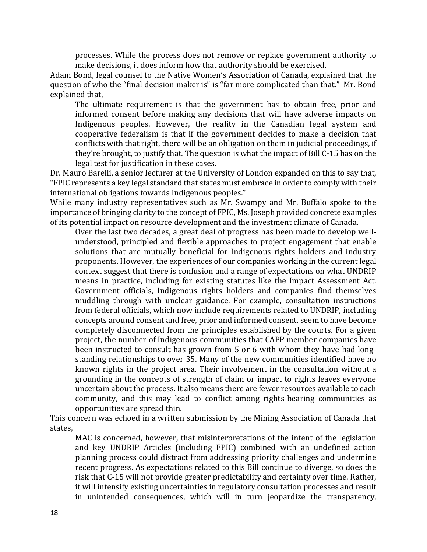processes. While the process does not remove or replace government authority to make decisions, it does inform how that authority should be exercised.

Adam Bond, legal counsel to the Native Women's Association of Canada, explained that the question of who the "final decision maker is" is "far more complicated than that." Mr. Bond explained that,

The ultimate requirement is that the government has to obtain free, prior and informed consent before making any decisions that will have adverse impacts on Indigenous peoples. However, the reality in the Canadian legal system and cooperative federalism is that if the government decides to make a decision that conflicts with that right, there will be an obligation on them in judicial proceedings, if they're brought, to justify that. The question is what the impact of Bill C-15 has on the legal test for justification in these cases.

Dr. Mauro Barelli, a senior lecturer at the University of London expanded on this to say that, "FPIC represents a key legal standard that states must embrace in order to comply with their international obligations towards Indigenous peoples."

While many industry representatives such as Mr. Swampy and Mr. Buffalo spoke to the importance of bringing clarity to the concept of FPIC, Ms. Joseph provided concrete examples of its potential impact on resource development and the investment climate of Canada.

Over the last two decades, a great deal of progress has been made to develop wellunderstood, principled and flexible approaches to project engagement that enable solutions that are mutually beneficial for Indigenous rights holders and industry proponents. However, the experiences of our companies working in the current legal context suggest that there is confusion and a range of expectations on what UNDRIP means in practice, including for existing statutes like the Impact Assessment Act. Government officials, Indigenous rights holders and companies find themselves muddling through with unclear guidance. For example, consultation instructions from federal officials, which now include requirements related to UNDRIP, including concepts around consent and free, prior and informed consent, seem to have become completely disconnected from the principles established by the courts. For a given project, the number of Indigenous communities that CAPP member companies have been instructed to consult has grown from 5 or 6 with whom they have had longstanding relationships to over 35. Many of the new communities identified have no known rights in the project area. Their involvement in the consultation without a grounding in the concepts of strength of claim or impact to rights leaves everyone uncertain about the process. It also means there are fewer resources available to each community, and this may lead to conflict among rights-bearing communities as opportunities are spread thin.

This concern was echoed in a written submission by the Mining Association of Canada that states,

MAC is concerned, however, that misinterpretations of the intent of the legislation and key UNDRIP Articles (including FPIC) combined with an undefined action planning process could distract from addressing priority challenges and undermine recent progress. As expectations related to this Bill continue to diverge, so does the risk that C‐15 will not provide greater predictability and certainty over time. Rather, it will intensify existing uncertainties in regulatory consultation processes and result in unintended consequences, which will in turn jeopardize the transparency,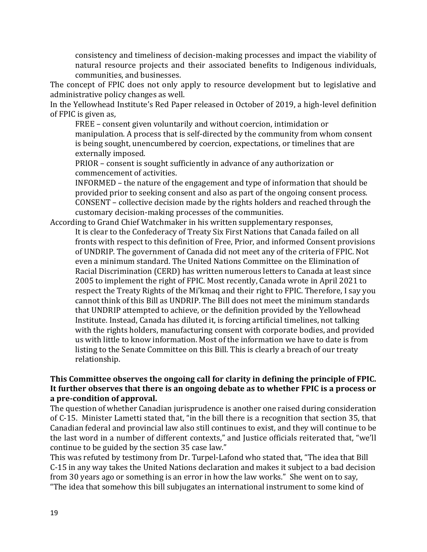consistency and timeliness of decision‐making processes and impact the viability of natural resource projects and their associated benefits to Indigenous individuals, communities, and businesses.

The concept of FPIC does not only apply to resource development but to legislative and administrative policy changes as well.

In the Yellowhead Institute's Red Paper released in October of 2019, a high-level definition of FPIC is given as,

FREE – consent given voluntarily and without coercion, intimidation or manipulation. A process that is self-directed by the community from whom consent is being sought, unencumbered by coercion, expectations, or timelines that are externally imposed.

PRIOR – consent is sought sufficiently in advance of any authorization or commencement of activities.

INFORMED – the nature of the engagement and type of information that should be provided prior to seeking consent and also as part of the ongoing consent process. CONSENT – collective decision made by the rights holders and reached through the customary decision-making processes of the communities.

# According to Grand Chief Watchmaker in his written supplementary responses, It is clear to the Confederacy of Treaty Six First Nations that Canada failed on all fronts with respect to this definition of Free, Prior, and informed Consent provisions of UNDRIP. The government of Canada did not meet any of the criteria of FPIC. Not even a minimum standard. The United Nations Committee on the Elimination of Racial Discrimination (CERD) has written numerous letters to Canada at least since 2005 to implement the right of FPIC. Most recently, Canada wrote in April 2021 to respect the Treaty Rights of the Mi'kmaq and their right to FPIC. Therefore, I say you cannot think of this Bill as UNDRIP. The Bill does not meet the minimum standards that UNDRIP attempted to achieve, or the definition provided by the Yellowhead Institute. Instead, Canada has diluted it, is forcing artificial timelines, not talking with the rights holders, manufacturing consent with corporate bodies, and provided us with little to know information. Most of the information we have to date is from listing to the Senate Committee on this Bill. This is clearly a breach of our treaty relationship.

# **This Committee observes the ongoing call for clarity in defining the principle of FPIC. It further observes that there is an ongoing debate as to whether FPIC is a process or a pre-condition of approval.**

The question of whether Canadian jurisprudence is another one raised during consideration of C-15. Minister Lametti stated that, "in the bill there is a recognition that section 35, that Canadian federal and provincial law also still continues to exist, and they will continue to be the last word in a number of different contexts," and Justice officials reiterated that, "we'll continue to be guided by the section 35 case law."

This was refuted by testimony from Dr. Turpel-Lafond who stated that, "The idea that Bill C-15 in any way takes the United Nations declaration and makes it subject to a bad decision from 30 years ago or something is an error in how the law works." She went on to say, "The idea that somehow this bill subjugates an international instrument to some kind of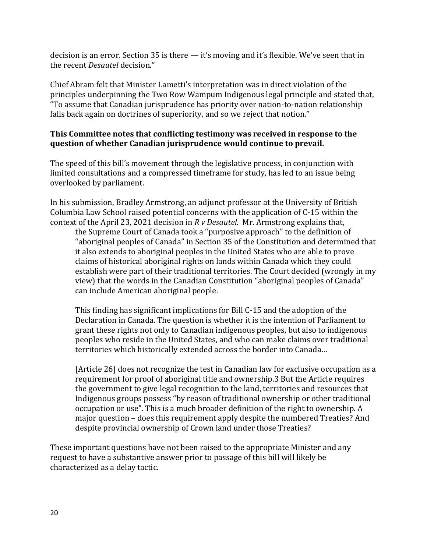decision is an error. Section 35 is there — it's moving and it's flexible. We've seen that in the recent *Desautel* decision."

Chief Abram felt that Minister Lametti's interpretation was in direct violation of the principles underpinning the Two Row Wampum Indigenous legal principle and stated that, "To assume that Canadian jurisprudence has priority over nation-to-nation relationship falls back again on doctrines of superiority, and so we reject that notion."

# **This Committee notes that conflicting testimony was received in response to the question of whether Canadian jurisprudence would continue to prevail.**

The speed of this bill's movement through the legislative process, in conjunction with limited consultations and a compressed timeframe for study, has led to an issue being overlooked by parliament.

In his submission, Bradley Armstrong, an adjunct professor at the University of British Columbia Law School raised potential concerns with the application of C-15 within the context of the April 23, 2021 decision in *R v Desautel*. Mr. Armstrong explains that, the Supreme Court of Canada took a "purposive approach" to the definition of "aboriginal peoples of Canada" in Section 35 of the Constitution and determined that it also extends to aboriginal peoples in the United States who are able to prove claims of historical aboriginal rights on lands within Canada which they could establish were part of their traditional territories. The Court decided (wrongly in my view) that the words in the Canadian Constitution "aboriginal peoples of Canada" can include American aboriginal people.

This finding has significant implications for Bill C-15 and the adoption of the Declaration in Canada. The question is whether it is the intention of Parliament to grant these rights not only to Canadian indigenous peoples, but also to indigenous peoples who reside in the United States, and who can make claims over traditional territories which historically extended across the border into Canada…

[Article 26] does not recognize the test in Canadian law for exclusive occupation as a requirement for proof of aboriginal title and ownership.3 But the Article requires the government to give legal recognition to the land, territories and resources that Indigenous groups possess "by reason of traditional ownership or other traditional occupation or use". This is a much broader definition of the right to ownership. A major question – does this requirement apply despite the numbered Treaties? And despite provincial ownership of Crown land under those Treaties?

These important questions have not been raised to the appropriate Minister and any request to have a substantive answer prior to passage of this bill will likely be characterized as a delay tactic.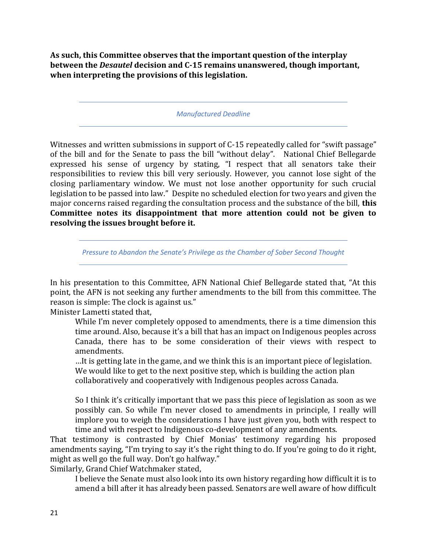**As such, this Committee observes that the important question of the interplay between the** *Desautel* **decision and C-15 remains unanswered, though important, when interpreting the provisions of this legislation.** 

*Manufactured Deadline*

Witnesses and written submissions in support of C-15 repeatedly called for "swift passage" of the bill and for the Senate to pass the bill "without delay". National Chief Bellegarde expressed his sense of urgency by stating, "I respect that all senators take their responsibilities to review this bill very seriously. However, you cannot lose sight of the closing parliamentary window. We must not lose another opportunity for such crucial legislation to be passed into law." Despite no scheduled election for two years and given the major concerns raised regarding the consultation process and the substance of the bill, **this Committee notes its disappointment that more attention could not be given to resolving the issues brought before it.** 

*Pressure to Abandon the Senate's Privilege as the Chamber of Sober Second Thought*

In his presentation to this Committee, AFN National Chief Bellegarde stated that, "At this point, the AFN is not seeking any further amendments to the bill from this committee. The reason is simple: The clock is against us."

Minister Lametti stated that,

While I'm never completely opposed to amendments, there is a time dimension this time around. Also, because it's a bill that has an impact on Indigenous peoples across Canada, there has to be some consideration of their views with respect to amendments.

…It is getting late in the game, and we think this is an important piece of legislation. We would like to get to the next positive step, which is building the action plan collaboratively and cooperatively with Indigenous peoples across Canada.

So I think it's critically important that we pass this piece of legislation as soon as we possibly can. So while I'm never closed to amendments in principle, I really will implore you to weigh the considerations I have just given you, both with respect to time and with respect to Indigenous co-development of any amendments.

That testimony is contrasted by Chief Monias' testimony regarding his proposed amendments saying, "I'm trying to say it's the right thing to do. If you're going to do it right, might as well go the full way. Don't go halfway."

Similarly, Grand Chief Watchmaker stated,

I believe the Senate must also look into its own history regarding how difficult it is to amend a bill after it has already been passed. Senators are well aware of how difficult